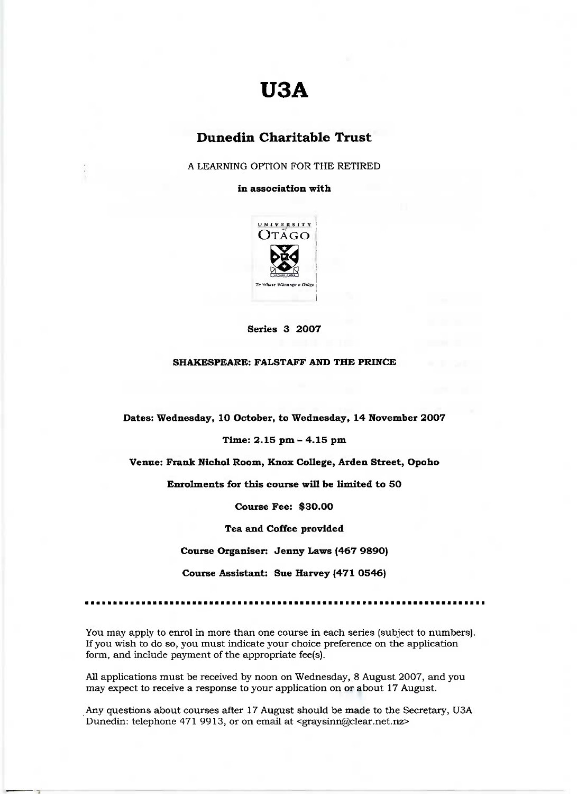# **U3A**

## **Dunedin Charitable Trust**

A LEARNING OPTION FOR THE RETIRED

#### **in association with**



**Series 3 2007**

#### **SHAKESPEARE: FALSTAFF AND THE PRINCE**

**Dates: Wednesday, 10 October, to Wednesday, 14 November 2007**

#### **Time: 2.15 pm - 4.15 pm**

**Venue: Frank Nichol Room, Knox College, Arden Street, Opoho**

**Enrolments for this course will be limited to 50**

**Course Fee: \$30.00**

**Tea and Coffee provided**

**Course Organiser: Jenny Laws (467 9890)**

**Course Assistant: Sue Harvey (471 0546)**

You may apply to enrol in more than one course in each series (subject to numbers). If you wish to do so, you must indicate your choice preference on the application form, and include payment of the appropriate fee(s).

All applications must be received by noon on Wednesday, 8 August 2007, and you may expect to receive a response to your application on or about 17 August.

Any questions about courses after 17 August should be made to the Secretary, USA Dunedin: telephone 471 9913, or on email at <graysinn@clear.net.nz>